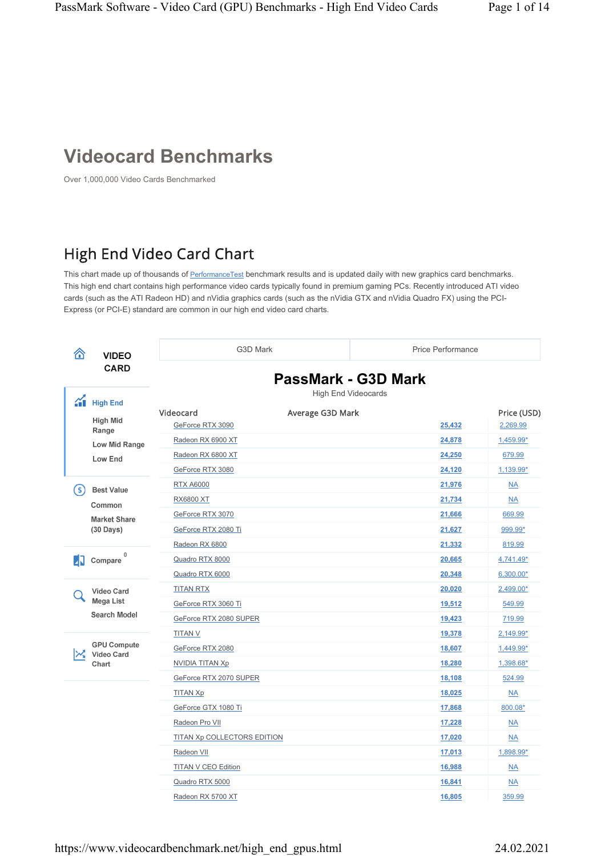## **Videocard Benchmarks**

Over 1,000,000 Video Cards Benchmarked

## High End Video Card Chart

This chart made up of thousands of <u>PerformanceTest</u> benchmark results and is updated daily with new graphics card benchmarks. This high end chart contains high performance video cards typically found in premium gaming PCs. Recently introduced ATI video cards (such as the ATI Radeon HD) and nVidia graphics cards (such as the nVidia GTX and nVidia Quadro FX) using the PCI-Express (or PCI-E) standard are common in our high end video card charts.

| 合        | <b>VIDEO</b>                                          | G3D Mark                                          | <b>Price Performance</b>                          |                         |
|----------|-------------------------------------------------------|---------------------------------------------------|---------------------------------------------------|-------------------------|
|          | <b>CARD</b>                                           |                                                   | PassMark - G3D Mark<br><b>High End Videocards</b> |                         |
| $\gamma$ | <b>High End</b><br>High Mid                           | Videocard<br>Average G3D Mark<br>GeForce RTX 3090 | 25,432                                            | Price (USD)<br>2,269.99 |
|          | Range                                                 | Radeon RX 6900 XT                                 | 24,878                                            | 1,459.99*               |
|          | Low Mid Range                                         | Radeon RX 6800 XT                                 | 24,250                                            | 679.99                  |
|          | Low End                                               | GeForce RTX 3080                                  | 24,120                                            | 1,139.99*               |
|          |                                                       | <b>RTX A6000</b>                                  | 21,976                                            | $\underline{NA}$        |
| S        | <b>Best Value</b>                                     | <b>RX6800 XT</b>                                  | 21,734                                            | NA                      |
|          | Common                                                | GeForce RTX 3070                                  | 21,666                                            | 669.99                  |
|          | <b>Market Share</b><br>$(30 \text{ Days})$            | GeForce RTX 2080 Ti                               | 21,627                                            | 999.99*                 |
|          |                                                       | Radeon RX 6800                                    | 21,332                                            | 819.99                  |
| ИΝ       | 0<br>Compare                                          | Quadro RTX 8000                                   | 20,665                                            | 4,741.49*               |
|          |                                                       | Quadro RTX 6000                                   | 20,348                                            | 6,300.00*               |
|          | <b>Video Card</b><br>Mega List<br><b>Search Model</b> | <b>TITAN RTX</b>                                  | 20,020                                            | 2,499.00*               |
|          |                                                       | GeForce RTX 3060 Ti                               | 19,512                                            | 549.99                  |
|          |                                                       | GeForce RTX 2080 SUPER                            | 19,423                                            | 719.99                  |
|          |                                                       | <b>TITAN V</b>                                    | 19,378                                            | 2,149.99*               |
|          | <b>GPU Compute</b><br>Video Card<br>Chart             | GeForce RTX 2080                                  | 18,607                                            | 1,449.99*               |
|          |                                                       | NVIDIA TITAN Xp                                   | 18,280                                            | 1,398.68*               |
|          |                                                       | GeForce RTX 2070 SUPER                            | 18,108                                            | 524.99                  |
|          |                                                       | <b>TITAN Xp</b>                                   | 18,025                                            | $\underline{NA}$        |
|          |                                                       | GeForce GTX 1080 Ti                               | 17,868                                            | 800.08*                 |
|          |                                                       | Radeon Pro VII                                    | 17,228                                            | NA                      |
|          |                                                       | <b>TITAN Xp COLLECTORS EDITION</b>                | 17,020                                            | $\overline{\text{NA}}$  |
|          |                                                       | Radeon VII                                        | 17,013                                            | 1,898.99*               |
|          |                                                       | <b>TITAN V CEO Edition</b>                        | 16,988                                            | $\underline{NA}$        |
|          |                                                       | Quadro RTX 5000                                   | 16,841                                            | NA                      |
|          |                                                       | Radeon RX 5700 XT                                 | 16,805                                            | 359.99                  |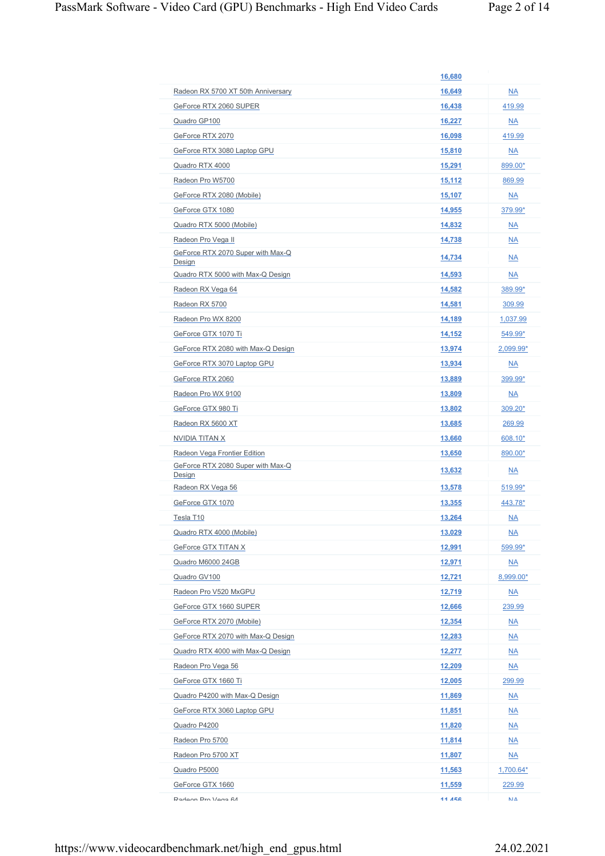|                                             | 16,680        |                              |
|---------------------------------------------|---------------|------------------------------|
| Radeon RX 5700 XT 50th Anniversary          | 16,649        | <b>NA</b>                    |
| GeForce RTX 2060 SUPER                      | 16,438        | 419.99                       |
| Quadro GP100                                | 16,227        | $\underline{\mathsf{NA}}$    |
| GeForce RTX 2070                            | 16,098        | 419.99                       |
| GeForce RTX 3080 Laptop GPU                 | 15,810        | $\underline{\mathsf{NA}}$    |
| Quadro RTX 4000                             | 15,291        | 899.00*                      |
| Radeon Pro W5700                            | 15,112        | 869.99                       |
| GeForce RTX 2080 (Mobile)                   | 15,107        | $\underline{NA}$             |
| GeForce GTX 1080                            | 14,955        | 379.99*                      |
| Quadro RTX 5000 (Mobile)                    | 14,832        | <b>NA</b>                    |
| Radeon Pro Vega II                          | 14,738        | <b>NA</b>                    |
| GeForce RTX 2070 Super with Max-Q<br>Design | 14,734        | $N_A$                        |
| Quadro RTX 5000 with Max-Q Design           | 14,593        | $\underline{NA}$             |
| Radeon RX Vega 64                           | 14,582        | 389.99*                      |
| Radeon RX 5700                              | 14,581        | 309.99                       |
| Radeon Pro WX 8200                          | 14,189        | 1,037.99                     |
| GeForce GTX 1070 Ti                         | 14,152        | 549.99*                      |
| GeForce RTX 2080 with Max-Q Design          | 13,974        | 2,099.99*                    |
| GeForce RTX 3070 Laptop GPU                 | 13,934        | $\underline{\mathsf{NA}}$    |
| GeForce RTX 2060                            | 13,889        | 399.99*                      |
| Radeon Pro WX 9100                          | 13,809        | $\underline{NA}$             |
| GeForce GTX 980 Ti                          | 13,802        | $309.20*$                    |
| Radeon RX 5600 XT                           | 13,685        | 269.99                       |
| NVIDIA TITAN X                              | 13,660        | 608.10*                      |
| Radeon Vega Frontier Edition                | 13,650        | 890.00*                      |
| GeForce RTX 2080 Super with Max-Q<br>Design | 13,632        | NA                           |
| Radeon RX Vega 56                           | 13,578        | 519.99*                      |
| GeForce GTX 1070                            | 13,355        | 443.78*                      |
| Tesla T10                                   | 13,264        | <b>NA</b>                    |
| Quadro RTX 4000 (Mobile)                    | <u>13,029</u> | <u>NA</u>                    |
| GeForce GTX TITAN X                         | 12,991        | 599.99*                      |
|                                             |               |                              |
| Quadro M6000 24GB                           | 12,971        | $\underline{\mathsf{NA}}$    |
| Quadro GV100                                | <u>12,721</u> | 8,999.00*                    |
| Radeon Pro V520 MxGPU                       | 12,719        | $\underline{NA}$             |
| GeForce GTX 1660 SUPER                      | 12,666        | 239.99                       |
| GeForce RTX 2070 (Mobile)                   | 12,354        | $\underline{NA}$             |
| GeForce RTX 2070 with Max-Q Design          | <u>12,283</u> | $\underline{\mathsf{NA}}$    |
| Quadro RTX 4000 with Max-Q Design           | <u>12,277</u> | <u>NA</u>                    |
| Radeon Pro Vega 56                          | <u>12,209</u> | $\underline{\mathsf{NA}}$    |
| GeForce GTX 1660 Ti                         | 12,005        | <u>299.99</u>                |
| Quadro P4200 with Max-Q Design              | 11,869        | $\underline{\mathsf{NA}}$    |
| GeForce RTX 3060 Laptop GPU                 | <u>11,851</u> | <u>NA</u>                    |
| Quadro P4200                                | 11,820        | $\underline{NA}$             |
| Radeon Pro 5700                             | <u>11,814</u> | <u>NA</u>                    |
| Radeon Pro 5700 XT                          | 11,807        | $\underline{\mathsf{NA}}$    |
| Quadro P5000                                | <u>11,563</u> | $1,700.64*$                  |
| GeForce GTX 1660                            | 11,559        | 229.99                       |
| Radeon Pro Vena 64                          | 11 456        | $\mathsf{N}\mathsf{I}\Delta$ |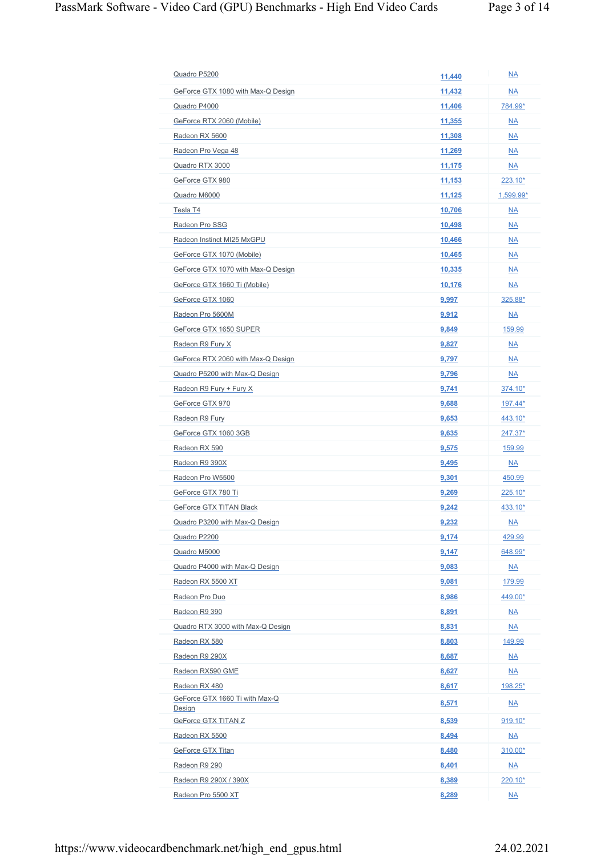| Quadro P5200                             | 11,440        | $\underline{NA}$          |
|------------------------------------------|---------------|---------------------------|
| GeForce GTX 1080 with Max-Q Design       | 11,432        | <b>NA</b>                 |
| Quadro P4000                             | 11,406        | 784.99*                   |
| GeForce RTX 2060 (Mobile)                | <u>11,355</u> | <b>NA</b>                 |
| Radeon RX 5600                           | 11,308        | <b>NA</b>                 |
| Radeon Pro Vega 48                       | 11,269        | <b>NA</b>                 |
| Quadro RTX 3000                          | 11,175        | $\underline{NA}$          |
| GeForce GTX 980                          | 11,153        | $223.10*$                 |
| Quadro M6000                             | 11,125        | 1,599.99*                 |
| Tesla T4                                 | 10,706        | $\underline{NA}$          |
| Radeon Pro SSG                           | 10,498        | <b>NA</b>                 |
| Radeon Instinct MI25 MxGPU               | 10,466        | $\underline{NA}$          |
| GeForce GTX 1070 (Mobile)                | 10,465        | <b>NA</b>                 |
| GeForce GTX 1070 with Max-Q Design       | 10,335        | $\underline{NA}$          |
| GeForce GTX 1660 Ti (Mobile)             | 10,176        | <b>NA</b>                 |
| GeForce GTX 1060                         | 9,997         | 325.88*                   |
| Radeon Pro 5600M                         | 9,912         | $\underline{\mathsf{NA}}$ |
| GeForce GTX 1650 SUPER                   | 9,849         | 159.99                    |
| Radeon R9 Fury X                         | 9,827         | $\underline{NA}$          |
| GeForce RTX 2060 with Max-Q Design       | 9,797         | <b>NA</b>                 |
| Quadro P5200 with Max-Q Design           | 9,796         | <b>NA</b>                 |
| Radeon R9 Fury + Fury X                  | 9,741         | 374.10*                   |
| GeForce GTX 970                          | 9,688         | 197.44*                   |
| Radeon R9 Fury                           | 9,653         | $443.10*$                 |
| GeForce GTX 1060 3GB                     | 9,635         | 247.37*                   |
| Radeon RX 590                            | 9,575         | 159.99                    |
| Radeon R9 390X                           | 9,495         | $\underline{\mathsf{NA}}$ |
| Radeon Pro W5500                         | <u>9,301</u>  | 450.99                    |
| GeForce GTX 780 Ti                       | 9,269         | 225.10*                   |
| GeForce GTX TITAN Black                  | 9,242         | 433.10*                   |
|                                          |               |                           |
| Quadro P3200 with Max-Q Design           | 9,232         | $\underline{NA}$          |
| Quadro P2200                             | 9,174         | 429.99                    |
| Quadro M5000                             | 9,147         | 648.99*                   |
| Quadro P4000 with Max-Q Design           | 9,083         | $\underline{\mathsf{NA}}$ |
| Radeon RX 5500 XT                        | 9,081         | 179.99                    |
| Radeon Pro Duo                           | 8,986         | 449.00*                   |
| Radeon R9 390                            | 8,891         | $\underline{\mathsf{NA}}$ |
| Quadro RTX 3000 with Max-Q Design        | 8,831         | $\underline{NA}$          |
| Radeon RX 580                            | 8,803         | 149.99                    |
| Radeon R9 290X                           | 8,687         | $\underline{\mathsf{NA}}$ |
| Radeon RX590 GME                         | 8,627         | $\underline{\mathsf{NA}}$ |
| Radeon RX 480                            | 8,617         | <u>198.25*</u>            |
| GeForce GTX 1660 Ti with Max-Q<br>Design | 8,571         | $\underline{\mathsf{NA}}$ |
| GeForce GTX TITAN Z                      | 8,539         | $919.10*$                 |
| Radeon RX 5500                           | 8,494         | $\underline{\mathsf{NA}}$ |
| GeForce GTX Titan                        | 8,480         | 310.00*                   |
| Radeon R9 290                            | 8,401         | $\underline{NA}$          |
| Radeon R9 290X / 390X                    | 8,389         | 220.10*                   |
| Radeon Pro 5500 XT                       | 8,289         | $\underline{NA}$          |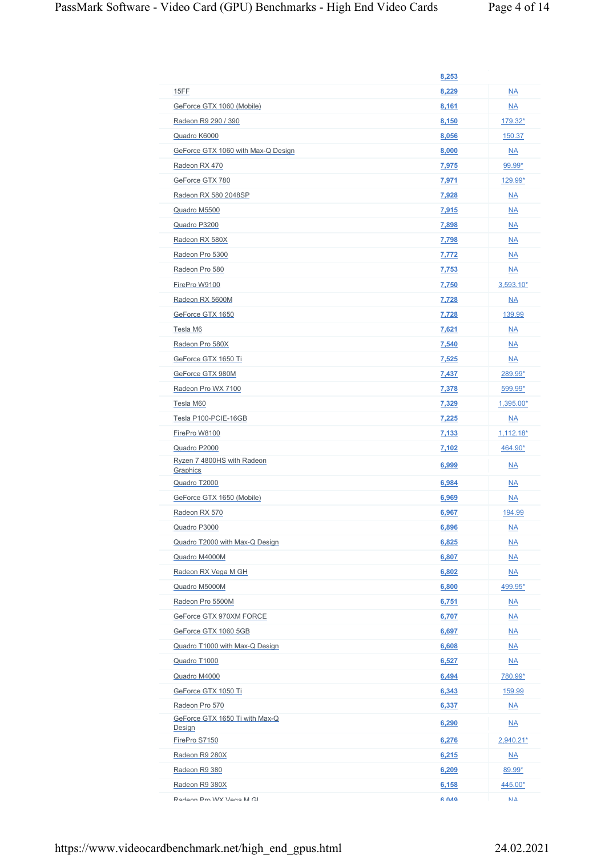|                                          | 8,253        |                           |
|------------------------------------------|--------------|---------------------------|
| 15FF                                     | 8,229        | $N_A$                     |
| GeForce GTX 1060 (Mobile)                | 8,161        | <b>NA</b>                 |
| Radeon R9 290 / 390                      | 8,150        | $179.32*$                 |
| Quadro K6000                             | 8,056        | 150.37                    |
| GeForce GTX 1060 with Max-Q Design       | 8,000        | $\underline{NA}$          |
| Radeon RX 470                            | 7,975        | 99.99*                    |
| GeForce GTX 780                          | 7,971        | 129.99*                   |
| Radeon RX 580 2048SP                     | 7,928        | <b>NA</b>                 |
| Quadro M5500                             | 7,915        | <b>NA</b>                 |
| Quadro P3200                             | 7,898        | $\underline{\mathsf{NA}}$ |
| Radeon RX 580X                           | 7,798        | <b>NA</b>                 |
| Radeon Pro 5300                          | 7,772        | <b>NA</b>                 |
| Radeon Pro 580                           | 7,753        | <b>NA</b>                 |
| FirePro W9100                            | 7,750        | $3,593.10*$               |
| Radeon RX 5600M                          | 7,728        | $N_A$                     |
| GeForce GTX 1650                         | 7,728        | 139.99                    |
| Tesla M6                                 | 7,621        | $\underline{NA}$          |
| Radeon Pro 580X                          | 7,540        | <b>NA</b>                 |
| GeForce GTX 1650 Ti                      | 7,525        | $N_A$                     |
| GeForce GTX 980M                         | 7,437        | 289.99*                   |
| Radeon Pro WX 7100                       | 7,378        | 599.99*                   |
| Tesla M60                                | 7,329        | $1,395.00*$               |
| Tesla P100-PCIE-16GB                     | 7,225        | $\underline{NA}$          |
| FirePro W8100                            | 7,133        | $1,112.18*$               |
| Quadro P2000                             | 7,102        | 464.90*                   |
| Ryzen 7 4800HS with Radeon<br>Graphics   | 6,999        | NA                        |
| Quadro T2000                             | 6,984        | $\underline{NA}$          |
| GeForce GTX 1650 (Mobile)                | 6,969        | <b>NA</b>                 |
| Radeon RX 570                            | 6,967        | 194.99                    |
| Quadro P3000                             | 6,896        | $\underline{\mathsf{NA}}$ |
| Quadro T2000 with Max-Q Design           | 6,825        | $\underline{\mathsf{NA}}$ |
| Quadro M4000M                            | 6,807        | $\underline{NA}$          |
| Radeon RX Vega M GH                      | 6,802        | $\underline{NA}$          |
| Quadro M5000M                            | 6,800        | 499.95*                   |
| Radeon Pro 5500M                         | 6,751        | $\underline{NA}$          |
| GeForce GTX 970XM FORCE                  | 6,707        | $\underline{NA}$          |
| GeForce GTX 1060 5GB                     | 6,697        | $\underline{NA}$          |
| Quadro T1000 with Max-Q Design           | 6,608        | $\underline{NA}$          |
| Quadro T1000                             | 6,527        | $\underline{NA}$          |
| Quadro M4000                             | 6,494        | 780.99*                   |
| GeForce GTX 1050 Ti                      | 6,343        | 159.99                    |
| Radeon Pro 570                           | 6,337        | $\underline{NA}$          |
| GeForce GTX 1650 Ti with Max-Q<br>Design | 6,290        | $\underline{\mathsf{NA}}$ |
| FirePro S7150                            | 6,276        | $2,940.21*$               |
| Radeon R9 280X                           | 6,215        | $\underline{\mathsf{NA}}$ |
| Radeon R9 380                            | 6,209        | 89.99*                    |
| Radeon R9 380X                           | 6,158        | 445.00*                   |
| Radeon Pro WX Vega M GI                  | <b>A 049</b> | $\mathsf{N}\,\Delta$      |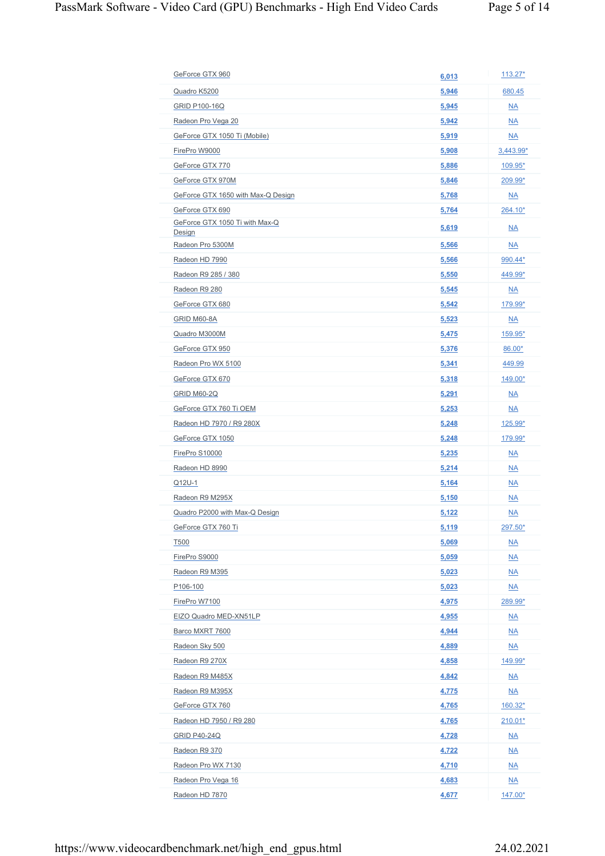| GeForce GTX 960                    | 6,013        | $113.27*$                 |
|------------------------------------|--------------|---------------------------|
| Quadro K5200                       | 5,946        | 680.45                    |
| <b>GRID P100-16Q</b>               | 5,945        | $\underline{NA}$          |
| Radeon Pro Vega 20                 | 5,942        | <b>NA</b>                 |
| GeForce GTX 1050 Ti (Mobile)       | 5,919        | $\underline{NA}$          |
| FirePro W9000                      | 5,908        | $3,443.99*$               |
| GeForce GTX 770                    | 5,886        | $109.95*$                 |
| GeForce GTX 970M                   | 5,846        | 209.99*                   |
| GeForce GTX 1650 with Max-Q Design | 5,768        | $\underline{NA}$          |
| GeForce GTX 690                    | 5,764        | 264.10*                   |
| GeForce GTX 1050 Ti with Max-Q     |              |                           |
| Design                             | 5,619        | $\overline{\mathsf{NA}}$  |
| Radeon Pro 5300M                   | 5,566        | <b>NA</b>                 |
| Radeon HD 7990                     | 5,566        | 990.44*                   |
| Radeon R9 285 / 380                | 5,550        | 449.99*                   |
| Radeon R9 280                      | 5,545        | $\underline{NA}$          |
| GeForce GTX 680                    | 5,542        | 179.99*                   |
| GRID M60-8A                        | 5,523        | $\underline{NA}$          |
| Quadro M3000M                      | 5,475        | 159.95*                   |
| GeForce GTX 950                    | 5,376        | 86.00*                    |
| Radeon Pro WX 5100                 | 5,341        | 449.99                    |
| GeForce GTX 670                    | 5,318        | 149.00*                   |
| <b>GRID M60-2Q</b>                 | 5,291        | $\underline{NA}$          |
| GeForce GTX 760 Ti OEM             | 5,253        | $N_A$                     |
| Radeon HD 7970 / R9 280X           | 5,248        | 125.99*                   |
| GeForce GTX 1050                   | 5,248        | 179.99*                   |
| FirePro S10000                     | 5,235        | $\underline{NA}$          |
| Radeon HD 8990                     | 5,214        | $\underline{NA}$          |
| Q12U-1                             | 5,164        | $\underline{NA}$          |
| Radeon R9 M295X                    | 5,150        | $\underline{NA}$          |
| Quadro P2000 with Max-Q Design     | 5,122        | <b>NA</b>                 |
| GeForce GTX 760 Ti                 | 5,119        | 297.50*                   |
| T500                               | 5,069        | $\underline{NA}$          |
| FirePro S9000                      | 5,059        | $\underline{NA}$          |
| Radeon R9 M395                     | 5,023        | $\underline{NA}$          |
| P <sub>106-100</sub>               | 5,023        | $\underline{NA}$          |
| FirePro W7100                      | 4,975        | 289.99*                   |
| EIZO Quadro MED-XN51LP             | 4,955        | $\underline{NA}$          |
| Barco MXRT 7600                    | 4,944        | $\underline{NA}$          |
| Radeon Sky 500                     | 4,889        | $\underline{NA}$          |
| Radeon R9 270X                     | 4,858        | 149.99*                   |
| Radeon R9 M485X                    | 4,842        | $\underline{NA}$          |
| Radeon R9 M395X                    | <u>4,775</u> | $\underline{NA}$          |
| GeForce GTX 760                    | 4,765        | $160.32*$                 |
| Radeon HD 7950 / R9 280            | 4,765        | $210.01*$                 |
| <b>GRID P40-24Q</b>                | 4,728        | $\underline{NA}$          |
| Radeon R9 370                      | 4,722        | $\underline{NA}$          |
| Radeon Pro WX 7130                 |              |                           |
|                                    | 4,710        | $\underline{\mathsf{NA}}$ |
| Radeon Pro Vega 16                 | 4,683        | $\underline{NA}$          |
| Radeon HD 7870                     | 4,677        | 147.00*                   |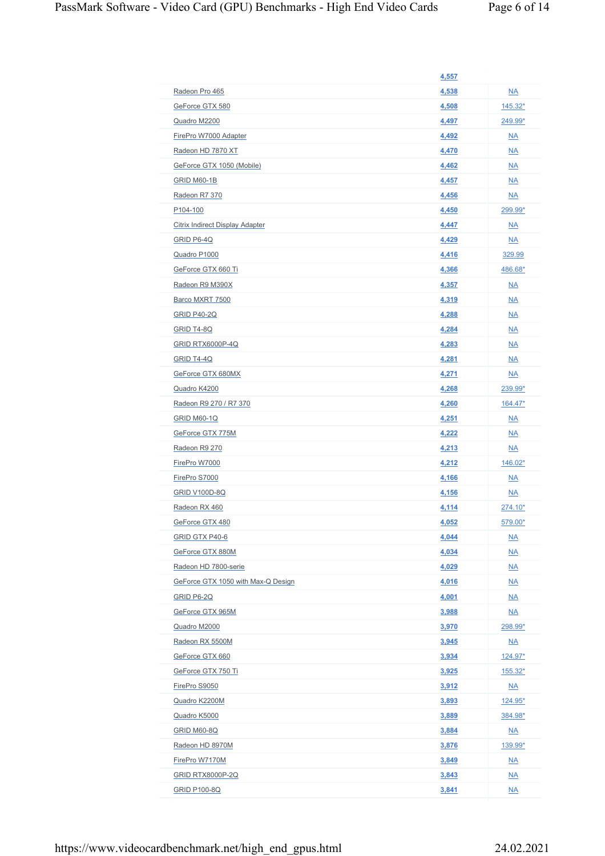|                                    | 4,557          |                                      |
|------------------------------------|----------------|--------------------------------------|
| Radeon Pro 465                     | 4,538          | $\underline{NA}$                     |
| GeForce GTX 580                    | 4,508          | <u>145.32*</u>                       |
| Quadro M2200                       | 4,497          | 249.99*                              |
| FirePro W7000 Adapter              | 4,492          | $\underline{NA}$                     |
| Radeon HD 7870 XT                  | 4,470          | $\underline{NA}$                     |
| GeForce GTX 1050 (Mobile)          | 4,462          | $\underline{NA}$                     |
| <b>GRID M60-1B</b>                 | 4,457          | $\underline{NA}$                     |
| Radeon R7 370                      | 4,456          | $\underline{NA}$                     |
| P <sub>104-100</sub>               | 4,450          | 299.99*                              |
| Citrix Indirect Display Adapter    | 4,447          | $\underline{NA}$                     |
| GRID P6-4Q                         | 4,429          | $N_A$                                |
| Quadro P1000                       | 4,416          | 329.99                               |
| GeForce GTX 660 Ti                 | 4,366          | 486.68*                              |
| Radeon R9 M390X                    | 4,357          | $\underline{\mathsf{NA}}$            |
| Barco MXRT 7500                    | 4,319          | $\underline{NA}$                     |
| <b>GRID P40-2Q</b>                 | 4,288          | $\underline{NA}$                     |
| <b>GRID T4-8Q</b>                  | 4,284          | $\underline{NA}$                     |
| <b>GRID RTX6000P-4Q</b>            | 4,283          | $\underline{NA}$                     |
| GRID T4-4Q                         | 4,281          | $N_A$                                |
| GeForce GTX 680MX                  | 4,271          | $N_A$                                |
| Quadro K4200                       | 4,268          | 239.99*                              |
| Radeon R9 270 / R7 370             | 4,260          | 164.47*                              |
| <b>GRID M60-1Q</b>                 | 4,251          | $\underline{\mathsf{NA}}$            |
| GeForce GTX 775M                   | 4,222          | $\underline{NA}$                     |
| Radeon R9 270                      | 4,213          | $\underline{NA}$                     |
| FirePro W7000                      | <u>4,212</u>   | $146.02*$                            |
| FirePro S7000                      | 4,166          | $\underline{NA}$                     |
| <b>GRID V100D-8Q</b>               | 4,156          | $\underline{\mathsf{NA}}$            |
| Radeon RX 460                      | 4,114          | 274.10*                              |
| GeForce GTX 480                    | <u>4,052</u>   | <u>579.00*</u>                       |
| GRID GTX P40-6                     | 4,044          | $\underline{NA}$                     |
| GeForce GTX 880M                   | 4,034          | $\underline{NA}$                     |
| Radeon HD 7800-serie               | 4,029          | $\underline{NA}$                     |
| GeForce GTX 1050 with Max-Q Design | 4,016          | $\underline{NA}$                     |
| GRID P6-2Q                         | 4,001          | $\underline{NA}$                     |
| GeForce GTX 965M                   | 3,988          | $\underline{NA}$                     |
|                                    |                | 298.99*                              |
| Quadro M2000<br>Radeon RX 5500M    | 3,970<br>3,945 |                                      |
| GeForce GTX 660                    | 3,934          | $\underline{\mathsf{NA}}$<br>124.97* |
| GeForce GTX 750 Ti                 | 3,925          | $155.32*$                            |
| FirePro S9050                      | 3,912          | $\underline{\mathsf{NA}}$            |
| Quadro K2200M                      | 3,893          | 124.95*                              |
| Quadro K5000                       | 3,889          | 384.98*                              |
| <b>GRID M60-8Q</b>                 | 3,884          | <u>NA</u>                            |
| Radeon HD 8970M                    | 3,876          | 139.99*                              |
| FirePro W7170M                     | 3,849          |                                      |
| <b>GRID RTX8000P-2Q</b>            |                | $\underline{\mathsf{NA}}$            |
|                                    | 3,843          | $\underline{\mathsf{NA}}$            |
| <b>GRID P100-8Q</b>                | 3,841          | $\underline{NA}$                     |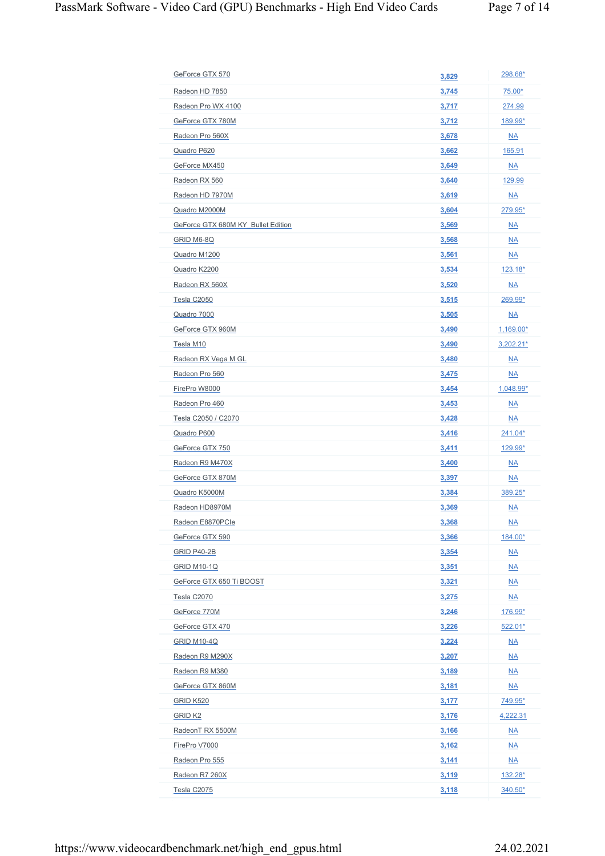| GeForce GTX 570                    | 3,829        | 298.68*                   |
|------------------------------------|--------------|---------------------------|
| Radeon HD 7850                     | 3,745        | 75.00*                    |
| Radeon Pro WX 4100                 | 3,717        | 274.99                    |
| GeForce GTX 780M                   | 3,712        | 189.99*                   |
| Radeon Pro 560X                    | 3,678        | $\underline{NA}$          |
| Quadro P620                        | 3,662        | 165.91                    |
| GeForce MX450                      | 3,649        | $\underline{NA}$          |
| Radeon RX 560                      | 3,640        | 129.99                    |
| Radeon HD 7970M                    | 3,619        | $\underline{NA}$          |
| Quadro M2000M                      | 3,604        | 279.95*                   |
| GeForce GTX 680M KY Bullet Edition | 3,569        | $\underline{NA}$          |
| <b>GRID M6-8Q</b>                  | 3,568        | $\underline{NA}$          |
| Quadro M1200                       | 3,561        | $\underline{NA}$          |
|                                    |              |                           |
| Quadro K2200                       | 3,534        | $123.18*$                 |
| Radeon RX 560X                     | 3,520        | $\underline{NA}$          |
| Tesla C2050                        | <u>3,515</u> | 269.99*                   |
| Quadro 7000                        | 3,505        | $\underline{\mathsf{NA}}$ |
| GeForce GTX 960M                   | 3,490        | $1,169.00*$               |
| Tesla M10                          | 3,490        | $3,202.21*$               |
| Radeon RX Vega M GL                | 3,480        | $\underline{NA}$          |
| Radeon Pro 560                     | 3,475        | $\underline{NA}$          |
| FirePro W8000                      | 3,454        | $1,048.99*$               |
| Radeon Pro 460                     | 3,453        | $\underline{NA}$          |
| Tesla C2050 / C2070                | 3,428        | $\underline{NA}$          |
| Quadro P600                        | <u>3,416</u> | 241.04*                   |
| GeForce GTX 750                    | 3,411        | 129.99*                   |
| Radeon R9 M470X                    | 3,400        | $\underline{NA}$          |
| GeForce GTX 870M                   | 3,397        | $\underline{NA}$          |
| Quadro K5000M                      | 3,384        | 389.25*                   |
| Radeon HD8970M                     | 3,369        | $\underline{NA}$          |
| Radeon E8870PCle                   | 3,368        | $\underline{\mathsf{NA}}$ |
| GeForce GTX 590                    | 3,366        | 184.00*                   |
| GRID P40-2B                        | 3,354        | $\underline{\mathsf{NA}}$ |
| <b>GRID M10-1Q</b>                 | 3,351        | $\underline{NA}$          |
| GeForce GTX 650 Ti BOOST           | 3,321        | $\underline{NA}$          |
| <b>Tesla C2070</b>                 | 3,275        | $\underline{NA}$          |
| GeForce 770M                       | 3,246        | 176.99*                   |
| GeForce GTX 470                    | 3,226        | 522.01*                   |
| <b>GRID M10-4Q</b>                 | 3,224        | $\underline{\mathsf{NA}}$ |
| Radeon R9 M290X                    | 3,207        | $\underline{\mathsf{NA}}$ |
| Radeon R9 M380                     | 3,189        | $\underline{NA}$          |
| GeForce GTX 860M                   | 3,181        | $\underline{\mathsf{NA}}$ |
| <b>GRID K520</b>                   | 3,177        | 749.95*                   |
| <b>GRID K2</b>                     | 3,176        | 4,222.31                  |
| RadeonT RX 5500M                   | 3,166        | $\underline{NA}$          |
| FirePro V7000                      | 3,162        | $\underline{\mathsf{NA}}$ |
| Radeon Pro 555                     | 3,141        | $\underline{\mathsf{NA}}$ |
| Radeon R7 260X                     | 3,119        | <u>132.28*</u>            |
| Tesla C2075                        | 3,118        | 340.50*                   |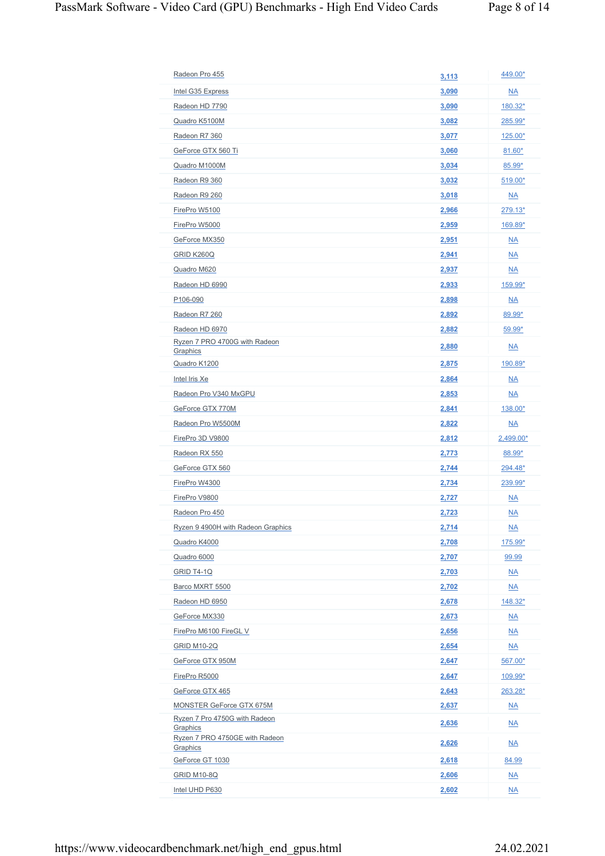| Radeon Pro 455                             |       | 449.00*                   |
|--------------------------------------------|-------|---------------------------|
|                                            | 3,113 |                           |
| Intel G35 Express                          | 3,090 | $\underline{\mathsf{NA}}$ |
| Radeon HD 7790                             | 3,090 | $180.32*$                 |
| Quadro K5100M                              | 3,082 | 285.99*                   |
| Radeon R7 360                              | 3,077 | 125.00*                   |
| GeForce GTX 560 Ti                         | 3,060 | $81.60*$                  |
| Quadro M1000M                              | 3,034 | 85.99*                    |
| Radeon R9 360                              | 3,032 | $519.00*$                 |
| Radeon R9 260                              | 3,018 | $\underline{\mathsf{NA}}$ |
| FirePro W5100                              | 2,966 | 279.13*                   |
| FirePro W5000                              | 2,959 | 169.89*                   |
| GeForce MX350                              | 2,951 | $\underline{NA}$          |
| GRID K260Q                                 | 2,941 | <b>NA</b>                 |
| Quadro M620                                | 2,937 | $\underline{NA}$          |
| Radeon HD 6990                             | 2,933 | 159.99*                   |
| P106-090                                   | 2,898 | $\underline{NA}$          |
| Radeon R7 260                              | 2,892 | 89.99*                    |
| Radeon HD 6970                             | 2,882 | $59.99*$                  |
| Ryzen 7 PRO 4700G with Radeon<br>Graphics  | 2,880 | NA                        |
| Quadro K1200                               | 2,875 | 190.89*                   |
| Intel Iris Xe                              | 2,864 | $\underline{\mathsf{NA}}$ |
| Radeon Pro V340 MxGPU                      | 2,853 | $\underline{\mathsf{NA}}$ |
| GeForce GTX 770M                           | 2,841 | 138.00*                   |
| Radeon Pro W5500M                          | 2,822 | $\underline{\mathsf{NA}}$ |
| FirePro 3D V9800                           | 2,812 | 2,499.00*                 |
| Radeon RX 550                              | 2,773 | 88.99*                    |
| GeForce GTX 560                            | 2,744 | 294.48*                   |
| FirePro W4300                              | 2,734 | 239.99*                   |
| FirePro V9800                              | 2,727 | $\underline{NA}$          |
| Radeon Pro 450                             | 2,723 | <b>NA</b>                 |
| Ryzen 9 4900H with Radeon Graphics         | 2,714 | $\underline{\mathsf{NA}}$ |
| Quadro K4000                               | 2,708 | 175.99*                   |
| Quadro 6000                                | 2,707 | 99.99                     |
| GRID T4-1Q                                 | 2,703 | $\underline{NA}$          |
| Barco MXRT 5500                            | 2,702 | $\underline{\mathsf{NA}}$ |
| Radeon HD 6950                             | 2,678 | 148.32*                   |
| GeForce MX330                              | 2,673 | $\underline{\mathsf{NA}}$ |
| FirePro M6100 FireGL V                     | 2,656 | $\underline{\mathsf{NA}}$ |
| <b>GRID M10-2Q</b>                         | 2,654 | $\underline{\mathsf{NA}}$ |
| GeForce GTX 950M                           | 2,647 | 567.00*                   |
| FirePro R5000                              | 2,647 | 109.99*                   |
| GeForce GTX 465                            | 2,643 | $263.28*$                 |
| MONSTER GeForce GTX 675M                   | 2,637 | $\underline{\mathsf{NA}}$ |
| Ryzen 7 Pro 4750G with Radeon              |       |                           |
| Graphics<br>Ryzen 7 PRO 4750GE with Radeon | 2,636 | $\underline{\mathsf{NA}}$ |
| Graphics                                   | 2,626 | M <sub>A</sub>            |
| GeForce GT 1030                            | 2,618 | 84.99                     |
| <b>GRID M10-8Q</b>                         | 2,606 | $\underline{\mathsf{NA}}$ |
| Intel UHD P630                             | 2,602 | $\underline{NA}$          |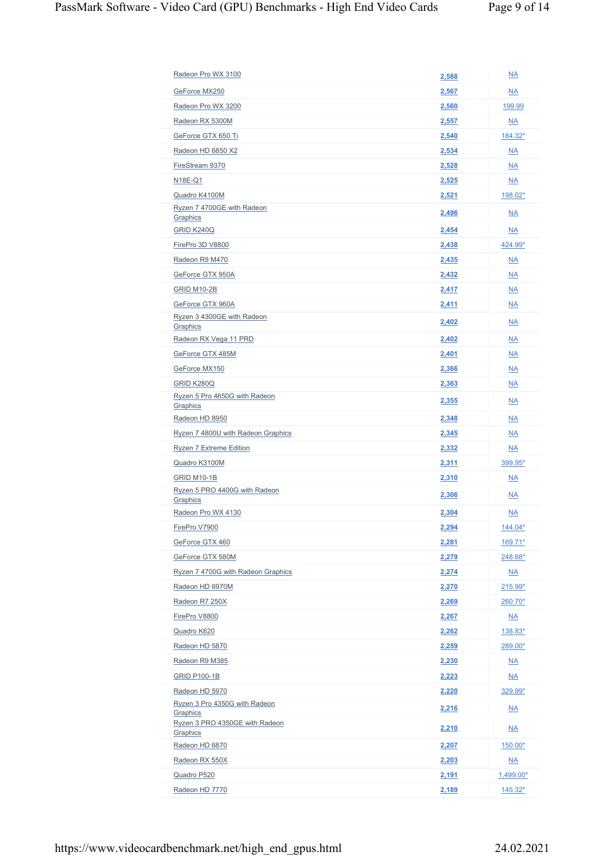| Radeon Pro WX 3100                                     | 2,588 | $\underline{NA}$          |
|--------------------------------------------------------|-------|---------------------------|
| GeForce MX250                                          | 2,567 | <b>NA</b>                 |
| Radeon Pro WX 3200                                     | 2,560 | 199.99                    |
| Radeon RX 5300M                                        | 2,557 | <b>NA</b>                 |
| GeForce GTX 650 Ti                                     | 2,540 | 184.32*                   |
| Radeon HD 6850 X2                                      | 2,534 | <b>NA</b>                 |
| FireStream 9370                                        |       | <b>NA</b>                 |
|                                                        | 2,528 |                           |
| N18E-Q1                                                | 2,525 | $\underline{\mathsf{NA}}$ |
| Quadro K4100M<br>Ryzen 7 4700GE with Radeon            | 2,521 | 198.02*                   |
| Graphics                                               | 2,496 | $\underline{\mathsf{NA}}$ |
| GRID K240Q                                             | 2,454 | <b>NA</b>                 |
| FirePro 3D V8800                                       | 2,438 | 424.99*                   |
| Radeon R9 M470                                         | 2,435 | $\underline{NA}$          |
| GeForce GTX 950A                                       | 2,432 | <b>NA</b>                 |
| GRID M10-2B                                            | 2,417 | $N_A$                     |
| GeForce GTX 960A                                       | 2,411 | <b>NA</b>                 |
| Ryzen 3 4300GE with Radeon                             | 2,402 | NA                        |
| Graphics<br>Radeon RX Vega 11 PRD                      | 2,402 | $N_A$                     |
| GeForce GTX 485M                                       | 2,401 | <b>NA</b>                 |
|                                                        |       |                           |
| GeForce MX150                                          | 2,366 | $N_A$                     |
| GRID K280Q<br>Ryzen 5 Pro 4650G with Radeon            | 2,363 | <b>NA</b>                 |
| Graphics                                               | 2,355 | NA                        |
| Radeon HD 8950                                         | 2,348 | $N_A$                     |
| Ryzen 7 4800U with Radeon Graphics                     | 2,345 | <b>NA</b>                 |
| Ryzen 7 Extreme Edition                                | 2,332 | $\underline{NA}$          |
| Quadro K3100M                                          | 2,311 | 399.95*                   |
| GRID M10-1B                                            | 2,310 | $\underline{NA}$          |
| Ryzen 5 PRO 4400G with Radeon<br>Graphics              | 2,306 | NA                        |
| Radeon Pro WX 4130                                     | 2,304 | <b>NA</b>                 |
| FirePro V7900                                          | 2,294 | <u>144.04*</u>            |
| GeForce GTX 460                                        | 2,281 | $169.71*$                 |
| GeForce GTX 580M                                       | 2,279 | $248.68*$                 |
| Ryzen 7 4700G with Radeon Graphics                     | 2,274 | $\underline{NA}$          |
| Radeon HD 6970M                                        | 2,270 | $215.99*$                 |
| Radeon R7 250X                                         | 2,269 | $260.70*$                 |
| FirePro V8800                                          | 2,267 | $\underline{\mathsf{NA}}$ |
| Quadro K620                                            | 2,262 | 138.83*                   |
| Radeon HD 5870                                         | 2,259 | 289.00*                   |
| Radeon R9 M385                                         | 2,230 | $\underline{\mathsf{NA}}$ |
| <b>GRID P100-1B</b>                                    | 2,223 | $\underline{\mathsf{NA}}$ |
| Radeon HD 5970                                         | 2,220 | 329.99*                   |
| Ryzen 3 Pro 4350G with Radeon                          | 2,216 | $\underline{\mathsf{NA}}$ |
| Graphics<br>Ryzen 3 PRO 4350GE with Radeon<br>Graphics | 2,210 | $\underline{\mathsf{NA}}$ |
| Radeon HD 6870                                         | 2,207 | $150.00*$                 |
| Radeon RX 550X                                         | 2,203 | $\underline{\mathsf{NA}}$ |
| Quadro P520                                            | 2,191 | 1,499.00*                 |
| Radeon HD 7770                                         | 2,189 | 145.32*                   |
|                                                        |       |                           |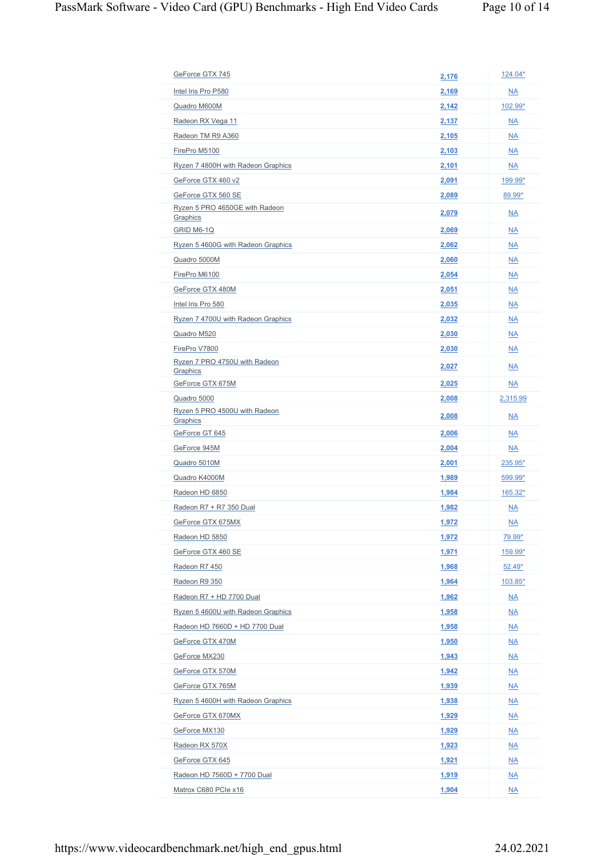| GeForce GTX 745                           | 2,176 | 124.04*                   |
|-------------------------------------------|-------|---------------------------|
| Intel Iris Pro P580                       | 2,169 | M <sub>A</sub>            |
| Quadro M600M                              | 2,142 | 102.99*                   |
| Radeon RX Vega 11                         | 2,137 | <b>NA</b>                 |
| Radeon TM R9 A360                         | 2,105 | <b>NA</b>                 |
| FirePro M5100                             | 2,103 | <b>NA</b>                 |
| Ryzen 7 4800H with Radeon Graphics        | 2,101 | <b>NA</b>                 |
| GeForce GTX 460 v2                        | 2,091 | 199.99*                   |
| GeForce GTX 560 SE                        | 2,089 | 89.99*                    |
| Ryzen 5 PRO 4650GE with Radeon            |       |                           |
| Graphics                                  | 2,079 | NA                        |
| GRID M6-1Q                                | 2,069 | <b>NA</b>                 |
| Ryzen 5 4600G with Radeon Graphics        | 2,062 | <b>NA</b>                 |
| Quadro 5000M                              | 2,060 | <b>NA</b>                 |
| FirePro M6100                             | 2,054 | M <sub>A</sub>            |
| GeForce GTX 480M                          | 2,051 | $\underline{NA}$          |
| Intel Iris Pro 580                        | 2,035 | <b>NA</b>                 |
| Ryzen 7 4700U with Radeon Graphics        | 2,032 | <b>NA</b>                 |
| Quadro M520                               | 2,030 | <b>NA</b>                 |
| FirePro V7800                             | 2,030 | $\underline{NA}$          |
| Ryzen 7 PRO 4750U with Radeon<br>Graphics | 2,027 | NA                        |
| GeForce GTX 675M                          | 2,025 | <b>NA</b>                 |
| Quadro 5000                               | 2,008 | 2,315.99                  |
| Ryzen 5 PRO 4500U with Radeon<br>Graphics | 2,008 | $\overline{\mathsf{NA}}$  |
| GeForce GT 645                            | 2,006 | <b>NA</b>                 |
| GeForce 945M                              | 2,004 | $\underline{NA}$          |
| Quadro 5010M                              | 2,001 | 235.95*                   |
| Quadro K4000M                             | 1,989 | 599.99*                   |
| Radeon HD 6850                            | 1,984 | 165.32*                   |
| Radeon R7 + R7 350 Dual                   | 1,982 | $\underline{NA}$          |
| GeForce GTX 675MX                         | 1,972 | $\underline{\mathsf{NA}}$ |
| Radeon HD 5850                            | 1,972 | 79.99*                    |
| GeForce GTX 460 SE                        | 1,971 | 159.99*                   |
| Radeon R7 450                             | 1,968 | $52.49*$                  |
| Radeon R9 350                             | 1,964 | 103.85*                   |
| Radeon R7 + HD 7700 Dual                  | 1,962 | $\underline{\mathsf{NA}}$ |
| Ryzen 5 4600U with Radeon Graphics        | 1,958 | $\underline{\mathsf{NA}}$ |
| Radeon HD 7660D + HD 7700 Dual            | 1,958 | M <sub>A</sub>            |
| GeForce GTX 470M                          | 1,950 | $\underline{\mathsf{NA}}$ |
| GeForce MX230                             | 1,943 | $\underline{NA}$          |
| GeForce GTX 570M                          | 1,942 | M <sub>A</sub>            |
| GeForce GTX 765M                          | 1,939 | $\underline{\mathsf{NA}}$ |
| Ryzen 5 4600H with Radeon Graphics        | 1,938 | $\underline{NA}$          |
| GeForce GTX 670MX                         | 1,929 | $\underline{\mathsf{NA}}$ |
| GeForce MX130                             | 1,929 | M <sub>A</sub>            |
| Radeon RX 570X                            | 1,923 | $\underline{\mathsf{NA}}$ |
| GeForce GTX 645                           | 1,921 | $\underline{\mathsf{NA}}$ |
| Radeon HD 7560D + 7700 Dual               | 1,919 | $\underline{NA}$          |
| Matrox C680 PCIe x16                      | 1,904 | $\underline{NA}$          |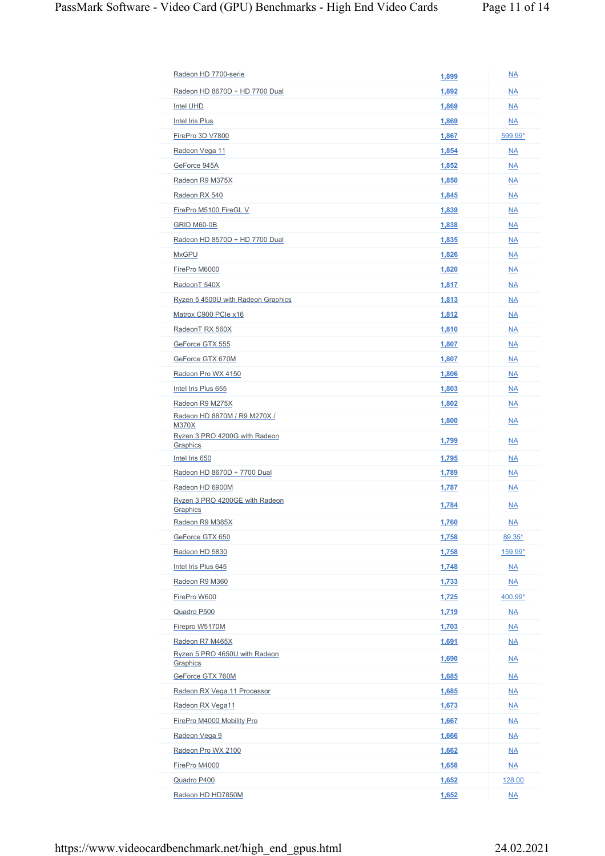| Radeon HD 8670D + HD 7700 Dual             | 1,892 | <b>NA</b>                 |
|--------------------------------------------|-------|---------------------------|
| Intel UHD                                  | 1,869 | <b>NA</b>                 |
| Intel Iris Plus                            | 1,869 | <b>NA</b>                 |
| FirePro 3D V7800                           | 1,867 | 599.99*                   |
| Radeon Vega 11                             | 1,854 | $\underline{\mathsf{NA}}$ |
| GeForce 945A                               | 1,852 | <b>NA</b>                 |
| Radeon R9 M375X                            | 1,850 | $\underline{\mathsf{NA}}$ |
| Radeon RX 540                              | 1,845 | <b>NA</b>                 |
| FirePro M5100 FireGL V                     |       |                           |
|                                            | 1,839 | <b>NA</b>                 |
| GRID M60-0B                                | 1,838 | <b>NA</b>                 |
| Radeon HD 8570D + HD 7700 Dual             | 1,835 | $\underline{NA}$          |
| <b>MxGPU</b>                               | 1,826 | <b>NA</b>                 |
| FirePro M6000                              | 1,820 | <b>NA</b>                 |
| RadeonT 540X                               | 1,817 | $\underline{NA}$          |
| Ryzen 5 4500U with Radeon Graphics         | 1,813 | <b>NA</b>                 |
| Matrox C900 PCIe x16                       | 1,812 | $\underline{NA}$          |
| RadeonT RX 560X                            | 1,810 | <b>NA</b>                 |
| GeForce GTX 555                            | 1,807 | $\underline{NA}$          |
| GeForce GTX 670M                           | 1,807 | $\underline{NA}$          |
| Radeon Pro WX 4150                         | 1,806 | <b>NA</b>                 |
| Intel Iris Plus 655                        | 1,803 | $\underline{NA}$          |
| Radeon R9 M275X                            | 1,802 | <b>NA</b>                 |
| Radeon HD 8870M / R9 M270X /<br>M370X      | 1,800 | NA                        |
| Ryzen 3 PRO 4200G with Radeon<br>Graphics  | 1,799 | NA                        |
| Intel Iris 650                             | 1,795 | <b>NA</b>                 |
| Radeon HD 8670D + 7700 Dual                | 1,789 | $\underline{NA}$          |
| Radeon HD 6900M                            | 1,787 | <b>NA</b>                 |
| Ryzen 3 PRO 4200GE with Radeon<br>Graphics | 1,784 | NA                        |
| Radeon R9 M385X                            | 1,760 | $\underline{NA}$          |
| GeForce GTX 650                            | 1,758 | $89.35*$                  |
| Radeon HD 5830                             | 1,758 | 159.99*                   |
| Intel Iris Plus 645                        | 1,748 | $\underline{NA}$          |
| Radeon R9 M360                             | 1,733 | $\underline{NA}$          |
| FirePro W600                               | 1,725 | 400.99*                   |
| Quadro P500                                | 1,719 | $\underline{\mathsf{NA}}$ |
| Firepro W5170M                             | 1,703 | $\underline{NA}$          |
| Radeon R7 M465X                            | 1,691 | $\underline{NA}$          |
| Ryzen 5 PRO 4650U with Radeon<br>Graphics  | 1,690 | $\underline{NA}$          |
| GeForce GTX 760M                           | 1,685 | $\underline{NA}$          |
| Radeon RX Vega 11 Processor                | 1,685 | $\underline{NA}$          |
| Radeon RX Vega11                           | 1,673 | $\underline{NA}$          |
| FirePro M4000 Mobility Pro                 | 1,667 | $\underline{NA}$          |
| Radeon Vega 9                              | 1,666 | $\underline{NA}$          |
| Radeon Pro WX 2100                         | 1,662 | $\underline{NA}$          |
| FirePro M4000                              | 1,658 | $\underline{NA}$          |
| Quadro P400                                | 1,652 | 128.00                    |
| Radeon HD HD7850M                          | 1,652 | $\underline{NA}$          |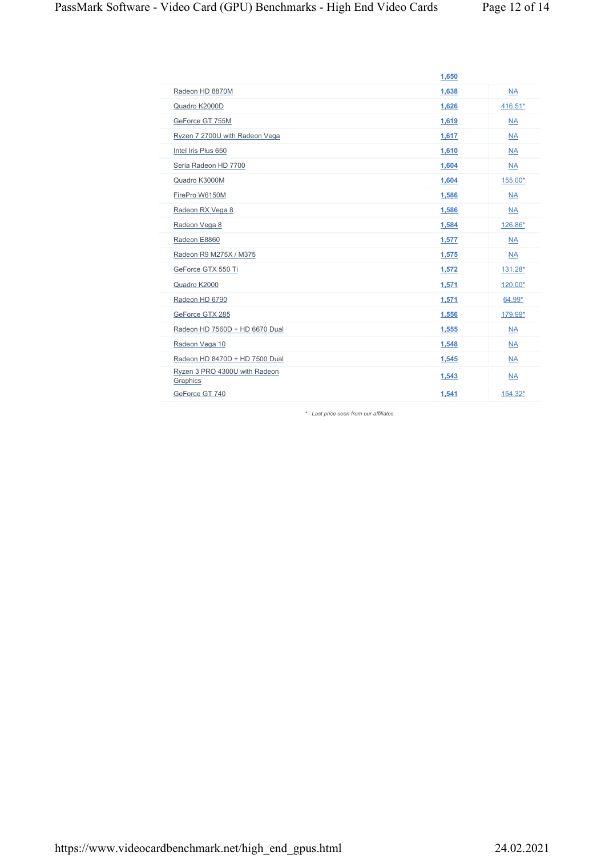|                                           | 1,650 |           |
|-------------------------------------------|-------|-----------|
| Radeon HD 8870M                           | 1,638 | <b>NA</b> |
| Quadro K2000D                             | 1,626 | 416.51*   |
| GeForce GT 755M                           | 1,619 | <b>NA</b> |
| Ryzen 7 2700U with Radeon Vega            | 1,617 | <b>NA</b> |
| Intel Iris Plus 650                       | 1,610 | <b>NA</b> |
| Seria Radeon HD 7700                      | 1,604 | <b>NA</b> |
| Quadro K3000M                             | 1,604 | 155.00*   |
| FirePro W6150M                            | 1,586 | <b>NA</b> |
| Radeon RX Vega 8                          | 1,586 | <b>NA</b> |
| Radeon Vega 8                             | 1,584 | 126.86*   |
| Radeon E8860                              | 1,577 | <b>NA</b> |
| Radeon R9 M275X / M375                    | 1,575 | <b>NA</b> |
| GeForce GTX 550 Ti                        | 1,572 | 131.28*   |
| Quadro K2000                              | 1,571 | 120.00*   |
| Radeon HD 6790                            | 1,571 | 64.99*    |
| GeForce GTX 285                           | 1,556 | 179.99*   |
| Radeon HD 7560D + HD 6670 Dual            | 1,555 | <b>NA</b> |
| Radeon Vega 10                            | 1,548 | <b>NA</b> |
| Radeon HD 8470D + HD 7500 Dual            | 1,545 | <b>NA</b> |
| Ryzen 3 PRO 4300U with Radeon<br>Graphics | 1,543 | <b>NA</b> |
| GeForce GT 740                            | 1,541 | 154.32*   |

*\* - Last price seen from our affiliates.*